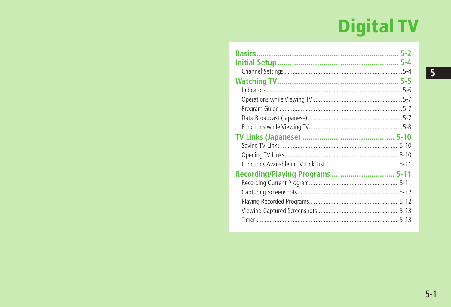# **Digital TV**

| Recording/Playing Programs  5-11 |  |
|----------------------------------|--|
|                                  |  |
|                                  |  |
|                                  |  |
|                                  |  |
|                                  |  |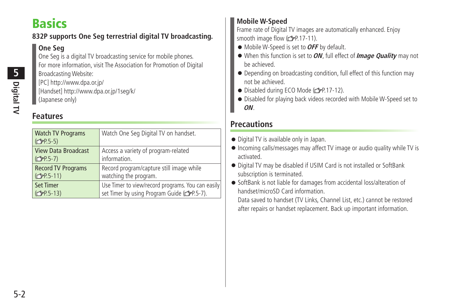## <span id="page-1-0"></span>**Basics**

#### **832P supports One Seg terrestrial digital TV broadcasting.**

#### **One Seg**

One Seg is a digital TV broadcasting service for mobile phones. For more information, visit The Association for Promotion of Digital Broadcasting Website: [PC] http://www.dpa.or.jp/

[Handset] http://www.dpa.or.jp/1seg/k/ (Japanese only)

## **Features**

| <b>Watch TV Programs</b><br>(C <sub>3</sub> P.5-5) | Watch One Seg Digital TV on handset.              |
|----------------------------------------------------|---------------------------------------------------|
| <b>View Data Broadcast</b>                         | Access a variety of program-related               |
| (C <sub>3</sub> P.5-7)                             | information.                                      |
| <b>Record TV Programs</b>                          | Record program/capture still image while          |
| (C <sub>T</sub> P.5-11)                            | watching the program.                             |
| <b>Set Timer</b>                                   | Use Timer to view/record programs. You can easily |
| (C <sub>T</sub> P.5-13)                            | set Timer by using Program Guide (FP.5-7).        |

#### **Mobile W-Speed**

Frame rate of Digital TV images are automatically enhanced. Enjoy smooth image flow  $(\mathcal{F}P.17-11)$ .

- Mobile W-Speed is set to **OFF** by default.
- When this function is set to **ON**, full effect of **Image Quality** may not be achieved.
- Depending on broadcasting condition, full effect of this function may not be achieved.
- Disabled during ECO Mode ( 子P.17-12).
- Disabled for playing back videos recorded with Mobile W-Speed set to **ON**.

### **Precautions**

- Digital TV is available only in Japan.
- Incoming calls/messages may affect TV image or audio quality while TV is activated.
- Digital TV may be disabled if USIM Card is not installed or SoftBank subscription is terminated.
- SoftBank is not liable for damages from accidental loss/alteration of handset/microSD Card information.

Data saved to handset (TV Links, Channel List, etc.) cannot be restored after repairs or handset replacement. Back up important information.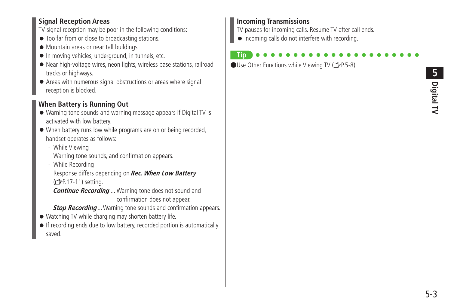#### **Signal Reception Areas**

TV signal reception may be poor in the following conditions:

- Too far from or close to broadcasting stations.
- Mountain areas or near tall buildings.
- In moving vehicles, underground, in tunnels, etc.
- Near high-voltage wires, neon lights, wireless base stations, railroad tracks or highways.
- Areas with numerous signal obstructions or areas where signal reception is blocked.

#### **When Battery is Running Out**

- Warning tone sounds and warning message appears if Digital TV is activated with low battery.
- When battery runs low while programs are on or being recorded, handset operates as follows:
	- ・ While Viewing Warning tone sounds, and confirmation appears.
	- ・ While Recording

Response differs depending on **Rec. When Low Battery** (<del>f</del>P.17-11) setting.

**Continue Recording** ... Warning tone does not sound and confirmation does not appear.

**Stop Recording** ... Warning tone sounds and confirmation appears.

- Watching TV while charging may shorten battery life.
- If recording ends due to low battery, recorded portion is automatically saved.

#### **Incoming Transmissions**

TV pauses for incoming calls. Resume TV after call ends.

● Incoming calls do not interfere with recording.

#### **Tip**  $\bigcirc$ Use Other Functions while Viewing TV ( $\bigcirc$ P.5-8)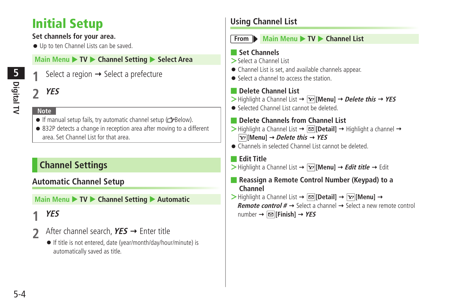## <span id="page-3-0"></span>**Initial Setup**

#### **Set channels for your area.**

● Up to ten Channel Lists can be saved.

#### **Main Menu > TV > Channel Setting > Select Area**

Select a region  $\rightarrow$  Select a prefecture

#### **2 YES**

#### **Note**

- $\bullet$  If manual setup fails, try automatic channel setup ( $\leq$ Below).
- 832P detects a change in reception area after moving to a different area. Set Channel List for that area.

## **Channel Settings**

#### **Automatic Channel Setup**

**Main Menu ▶ TV ▶ Channel Setting ▶ Automatic** 

## **1 YES**

- **2** After channel search, **YES** Enter title
	- If title is not entered, date (year/month/day/hour/minute) is automatically saved as title.

## **Using Channel List**



#### **From Main Menu** TV **Channel List**

#### ■ **Set Channels**

- **>**Select a Channel List
- Channel List is set, and available channels appear.
- Select a channel to access the station

#### ■ **Delete Channel List**

- $\triangleright$  Highlight a Channel List  $\rightarrow \overline{Y}$  [Menu]  $\rightarrow$  *Delete this*  $\rightarrow$  *YES*
- Selected Channel List cannot be deleted.

#### ■ **Delete Channels from Channel List**

- $\triangleright$  Highlight a Channel List  $\rightarrow \boxdot$  [Detail]  $\rightarrow$  Highlight a channel  $\rightarrow$  $\boxed{\text{y}}$  [Menul  $\rightarrow$  *Delete this*  $\rightarrow$  *YES*
- Channels in selected Channel List cannot be deleted.

#### ■ **Edit Title**

- $>$  Highlight a Channel List  $\rightarrow \boxed{\mathbf{x}}$  [Menu]  $\rightarrow$  *Edit title*  $\rightarrow$  Edit
- **Reassign a Remote Control Number (Keypad) to a Channel**
- $\triangleright$  Highlight a Channel List  $\rightarrow \boxtimes$  [Detail]  $\rightarrow \boxtimes$  [Menu]  $\rightarrow$ **Remote control**  $# \rightarrow$  Select a channel  $\rightarrow$  Select a new remote control  $number \rightarrow \boxed{\infty}$  [Finish]  $\rightarrow$  YES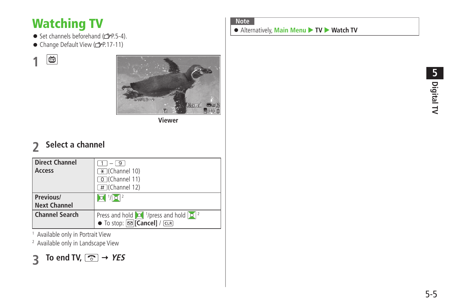## <span id="page-4-0"></span>**Watching TV**

- Set channels beforehand  $(2P.5-4)$ .
- Change Default View (子P.17-11)

画 **1**



**Viewer**

## **2 Select a channel**

| <b>Direct Channel</b><br>Access  | $-19$<br>$\overline{\mathcal{H}}$ (Channel 10)<br>O (Channel 11)<br>$\overline{\#}$ (Channel 12)                                     |
|----------------------------------|--------------------------------------------------------------------------------------------------------------------------------------|
| Previous/<br><b>Next Channel</b> | $ O $ $  O  ^2$                                                                                                                      |
| <b>Channel Search</b>            | Press and hold $\sqrt{2}$ <sup>1</sup> /press and hold $\sqrt{2}$ <sup>2</sup><br>$\bullet$ To stop: $\boxed{\infty}$ [Cancel] / CLR |

1 Available only in Portrait View

2 Available only in Landscape View



#### **Note**

● Alternatively, Main Menu ▶ TV ▶ Watch TV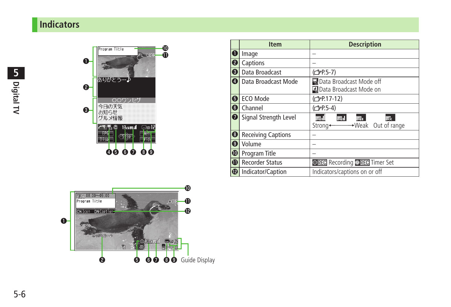## <span id="page-5-0"></span>**Indicators**



|                         | <b>Item</b>               | <b>Description</b>                 |
|-------------------------|---------------------------|------------------------------------|
| o                       | Image                     |                                    |
| $\boldsymbol{\Theta}$   | Captions                  |                                    |
| $\overline{\mathbf{e}}$ | Data Broadcast            | (C <sub>FP.5-7</sub> )             |
| $\overline{\mathbf{o}}$ | Data Broadcast Mode       | a Data Broadcast Mode off          |
|                         |                           | Data Broadcast Mode on             |
| 0                       | ECO Mode                  | (C <sub>FP.17-12</sub> )           |
| 0                       | Channel                   | (全P.5-4)                           |
| $\overline{\bullet}$    | Signal Strength Level     | 41<br>ar I<br><b>International</b> |
|                         |                           | →Weak Out of range<br>Strong+      |
| $\bullet$               | <b>Receiving Captions</b> |                                    |
| $\overline{\mathbf{e}}$ | Volume                    |                                    |
| $\overline{\mathbf{0}}$ | Program Title             |                                    |
| $\overline{\mathbf{0}}$ | <b>Recorder Status</b>    | OREC Recording OREC Timer Set      |
| $\overline{\mathbf{D}}$ | Indicator/Caption         | Indicators/captions on or off      |

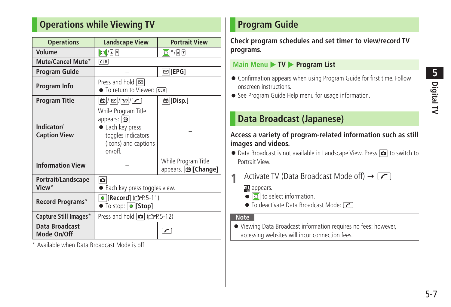## <span id="page-6-0"></span>**Operations while Viewing TV**

| <b>Operations</b>                    | <b>Landscape View</b>                                                                                          | <b>Portrait View</b>                      |  |
|--------------------------------------|----------------------------------------------------------------------------------------------------------------|-------------------------------------------|--|
| Volume                               | $O/ \mathbf{A} \mathbf{v} $                                                                                    | $Q^*$                                     |  |
| Mute/Cancel Mute*                    | CLR                                                                                                            |                                           |  |
| <b>Program Guide</b>                 |                                                                                                                | $\text{E}$ [EPG]                          |  |
| Program Info                         | Press and hold <b>⊠</b><br>• To return to Viewer: CLR                                                          |                                           |  |
| <b>Program Title</b>                 | $\mathbb{E}( \mathbf{E} /\mathbf{Y}/ \mathcal{L} )$                                                            | <b>茴</b>  [Disp.]                         |  |
| Indicator/<br><b>Caption View</b>    | While Program Title<br>appears:   m<br>Each key press<br>toggles indicators<br>(icons) and captions<br>on/off. |                                           |  |
| <b>Information View</b>              |                                                                                                                | While Program Title<br>appears, m[Change] |  |
| Portrait/Landscape<br>View*          | ο<br><b>Each key press toggles view.</b>                                                                       |                                           |  |
| Record Programs*                     | ● [Record] ( <del>○</del> P.5-11)<br>$\bullet$ To stop: $\bullet$ [Stop]                                       |                                           |  |
| Capture Still Images*                | Press and hold $\bullet$ ( $\rightarrow$ P.5-12)                                                               |                                           |  |
| <b>Data Broadcast</b><br>Mode On/Off | ╭                                                                                                              |                                           |  |

\* Available when Data Broadcast Mode is off

## **Program Guide**

**Check program schedules and set timer to view/record TV programs.**

#### **Main Menu ▶ TV ▶ Program List**

- Confirmation appears when using Program Guide for first time. Follow onscreen instructions.
- See Program Guide Help menu for usage information.

## **Data Broadcast (Japanese)**

#### **Access a variety of program-related information such as still images and videos.**

- Data Broadcast is not available in Landscape View. Press **o** to switch to Portrait View.
	- **1** Activate TV (Data Broadcast Mode off) →  $\boxed{\frown}$

al appears.

- $\bullet$   $\circ$  to select information.
- To deactivate Data Broadcast Mode:  $\boxed{\frown}$

#### **Note**

● Viewing Data Broadcast information requires no fees: however, accessing websites will incur connection fees.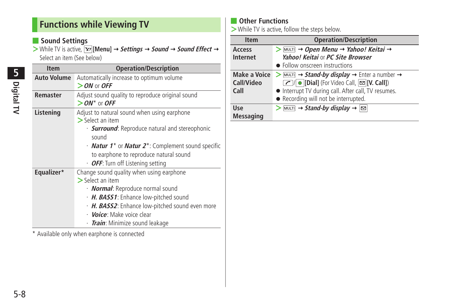## <span id="page-7-0"></span>**Functions while Viewing TV**

#### ■ **Sound Settings**

 $>$  While TV is active,  $\boxed{\mathbf{x}$  [Menu]  $\rightarrow$  **Settings**  $\rightarrow$  **Sound**  $\rightarrow$  **Sound Effect**  $\rightarrow$ Select an item (See below)

| <b>Item</b>        | <b>Operation/Description</b>                                                                                                                                                                                                                                                                                              |
|--------------------|---------------------------------------------------------------------------------------------------------------------------------------------------------------------------------------------------------------------------------------------------------------------------------------------------------------------------|
| <b>Auto Volume</b> | Automatically increase to optimum volume<br>$>$ ON or OFF                                                                                                                                                                                                                                                                 |
| <b>Remaster</b>    | Adjust sound quality to reproduce original sound<br>$>$ ON* or OFF                                                                                                                                                                                                                                                        |
| Listening          | Adjust to natural sound when using earphone<br>$\triangleright$ Select an item<br>· <b>Surround</b> : Reproduce natural and stereophonic<br>sound<br>• <b>Natur 1<sup>*</sup></b> or <b>Natur 2<sup>*</sup>:</b> Complement sound specific<br>to earphone to reproduce natural sound<br>• OFF: Turn off Listening setting |
| Equalizer*         | Change sound quality when using earphone<br>$>$ Select an item<br>· <b>Normal</b> : Reproduce normal sound<br>H. BASS1: Enhance low-pitched sound<br>· H. BASS2: Enhance low-pitched sound even more<br>· <i>Voice:</i> Make voice clear<br>· <i>Train</i> : Minimize sound leakage                                       |

\* Available only when earphone is connected

#### ■ **Other Functions**

**>**While TV is active, follow the steps below.

| <b>Item</b>                               | <b>Operation/Description</b>                                                                                                                                                                                                |
|-------------------------------------------|-----------------------------------------------------------------------------------------------------------------------------------------------------------------------------------------------------------------------------|
| Access<br><b>Internet</b>                 | $>$ MULTI $\rightarrow$ Open Menu $\rightarrow$ Yahoo! Keitai $\rightarrow$<br>Yahoo! Keitai or PC Site Browser<br>• Follow onscreen instructions                                                                           |
| <b>Make a Voice</b><br>Call/Video<br>Call | $>$ MULTI $\rightarrow$ Stand-by display $\rightarrow$ Enter a number $\rightarrow$<br>◯ Dial] (For Video Call, 2 [V. Call])<br>• Interrupt TV during call. After call, TV resumes.<br>• Recording will not be interrupted. |
| Use<br><b>Messaging</b>                   | $\boxed{\text{MULTI}}$ $\rightarrow$ Stand-by display $\rightarrow$ $\boxed{\approx}$                                                                                                                                       |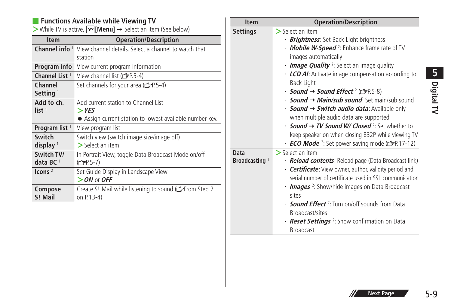#### ■ **Functions Available while Viewing TV**

 $\triangleright$  While TV is active,  $\triangleright$  [**Menu**]  $\rightarrow$  Select an item (See below)

| <b>Item</b>                     | <b>Operation/Description</b>                                                                               |
|---------------------------------|------------------------------------------------------------------------------------------------------------|
| Channel info <sup>1</sup>       | View channel details. Select a channel to watch that<br>station                                            |
| Program info                    | View current program information                                                                           |
| Channel List <sup>1</sup>       | View channel list (rep.5-4)                                                                                |
| Channel<br>Setting <sup>1</sup> | Set channels for your area ( $\mathcal{F}$ P.5-4)                                                          |
| Add to ch.<br>list <sup>1</sup> | Add current station to Channel List<br>$>$ YES<br>• Assign current station to lowest available number key. |
| Program list <sup>1</sup>       | View program list                                                                                          |
| Switch<br>display               | Switch view (switch image size/image off)<br>$\triangleright$ Select an item                               |
| Switch TV/<br>data BC $1$       | In Portrait View, toggle Data Broadcast Mode on/off<br>(C <sub>J</sub> P.5-7)                              |
| Icons $2$                       | Set Guide Display in Landscape View<br>$>$ ON or OFF                                                       |
| Compose<br>S! Mail              | Create S! Mail while listening to sound (from Step 2<br>on P.13-4)                                         |

| <b>Item</b>                       | <b>Operation/Description</b>                                                                                                                                                                                                                                                                                                                                                                                                                                                                                                                                                                                                                                                                                                             |
|-----------------------------------|------------------------------------------------------------------------------------------------------------------------------------------------------------------------------------------------------------------------------------------------------------------------------------------------------------------------------------------------------------------------------------------------------------------------------------------------------------------------------------------------------------------------------------------------------------------------------------------------------------------------------------------------------------------------------------------------------------------------------------------|
| <b>Settings</b>                   | $>$ Select an item<br>· <b>Brightness</b> : Set Back Light brightness<br>· <b>Mobile W-Speed</b> <sup>2</sup> : Enhance frame rate of TV<br>images automatically<br>Image Quality <sup>2</sup> : Select an image quality<br>$\cdot$ LCD AI: Activate image compensation according to<br>Back Light<br><i>• Sound → Sound Effect</i> <sup>2</sup> ( <del>△</del> P.5-8)<br>• <b>Sound → Main/sub sound:</b> Set main/sub sound<br>· <b>Sound → Switch audio data:</b> Available only<br>when multiple audio data are supported<br>$\cdot$ Sound $\rightarrow$ TV Sound W/ Closed <sup>2</sup> : Set whether to<br>keep speaker on when closing 832P while viewing TV<br><b>ECO Mode</b> <sup>2</sup> : Set power saving mode (rep. 17-12) |
| Data<br>Broadcasting <sup>1</sup> | $\sum$ Select an item<br>· <b>Reload contents</b> : Reload page (Data Broadcast link)<br>· <b>Certificate:</b> View owner, author, validity period and<br>serial number of certificate used in SSL communication<br>• <b>Images</b> <sup>2</sup> : Show/hide images on Data Broadcast<br>sites<br>• <b>Sound Effect</b> <sup>2</sup> : Turn on/off sounds from Data<br>Broadcast/sites<br>• <b>Reset Settings</b> <sup>2</sup> : Show confirmation on Data<br><b>Broadcast</b>                                                                                                                                                                                                                                                           |

5-9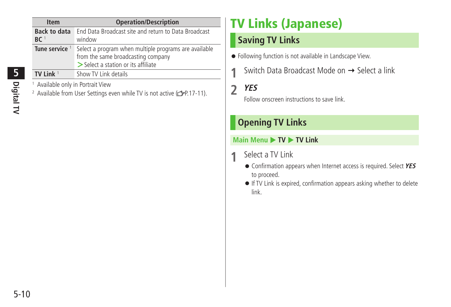<span id="page-9-0"></span>

| <b>Item</b>                            | <b>Operation/Description</b>                                                                                                       |
|----------------------------------------|------------------------------------------------------------------------------------------------------------------------------------|
| <b>Back to data</b><br>BC <sup>1</sup> | End Data Broadcast site and return to Data Broadcast<br>window                                                                     |
| Tune service                           | Select a program when multiple programs are available<br>from the same broadcasting company<br>> Select a station or its affiliate |
| TV Link $1$                            | Show TV Link details                                                                                                               |
| Available only in Portrait View        |                                                                                                                                    |

<sup>2</sup> Available from User Settings even while TV is not active (cape.17-11).

## **TV Links (Japanese)**

## **Saving TV Links**

- Following function is not available in Landscape View.
	- Switch Data Broadcast Mode on → Select a link

## **2 YES**

Follow onscreen instructions to save link.

## **Opening TV Links**

#### **Main Menu ▶ TV ▶ TV Link**

- **1** Select a TV Link
	- Confirmation appears when Internet access is required. Select **YES** to proceed.
	- If TV Link is expired, confirmation appears asking whether to delete link.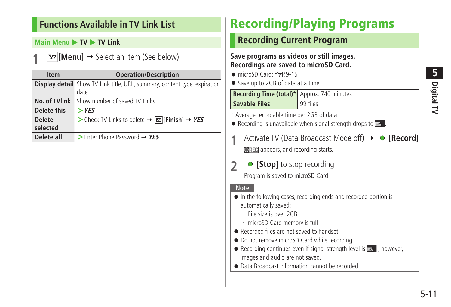### <span id="page-10-0"></span>**Functions Available in TV Link List**

#### **Main Menu ▶ TV ▶ TV Link**

 $\overline{\mathbf{x}}$  [Menu]  $\rightarrow$  Select an item (See below)

| <b>Item</b>   | <b>Operation/Description</b>                                                             |  |
|---------------|------------------------------------------------------------------------------------------|--|
|               | <b>Display detail</b> Show TV Link title, URL, summary, content type, expiration<br>date |  |
|               |                                                                                          |  |
| No. of TVlink | Show number of saved TV Links                                                            |  |
| Delete this   | $>$ YES                                                                                  |  |
| <b>Delete</b> | > Check TV Links to delete $\rightarrow \boxed{\infty}$ [Finish] $\rightarrow$ YES       |  |
| selected      |                                                                                          |  |
| Delete all    | $\triangleright$ Enter Phone Password $\rightarrow$ YES                                  |  |

## **Recording/Playing Programs**

## **Recording Current Program**

#### **Save programs as videos or still images. Recordings are saved to microSD Card.**

- $\bullet$  microSD Card:  $r^2P.9-15$
- Save up to 2GB of data at a time.

| Recording Time (total)* Approx. 740 minutes |          |
|---------------------------------------------|----------|
| <b>Savable Files</b>                        | 99 files |

- \* Average recordable time per 2GB of data
- $\bullet$  Recording is unavailable when signal strength drops to  $\bullet$ .
- **Activate TV (Data Broadcast Mode off) → ORECORD OREC** appears, and recording starts.
- **2 [Stop]** to stop recording

Program is saved to microSD Card.

#### **Note**

- In the following cases, recording ends and recorded portion is automatically saved:
	- ・ File size is over 2GB
	- ・ microSD Card memory is full
- Recorded files are not saved to handset.
- Do not remove microSD Card while recording.
- Recording continues even if signal strength level is  $\mathbb{R}$  ; however, images and audio are not saved.
- Data Broadcast information cannot be recorded.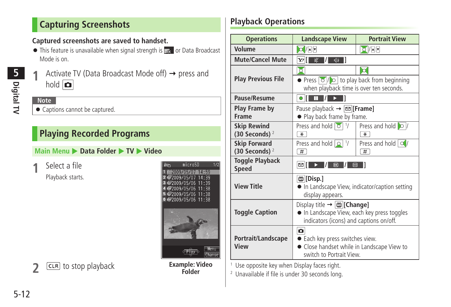## <span id="page-11-0"></span>**Capturing Screenshots**

#### **Captured screenshots are saved to handset.**

- $\bullet$  This feature is unavailable when signal strength is  $\bullet$  or Data Broadcast Mode is on.
- **Digital TV 5**
- Activate TV (Data Broadcast Mode off)  $\rightarrow$  press and hold **o**

#### **Note**

● Captions cannot be captured.

## **Playing Recorded Programs**

#### **Main Menu ▶ Data Folder ▶ TV ▶ Video**

**1** Select a file Playback starts.



## **2 Example: Video 2 Example: Video**

## **Playback Operations**

| <b>Operations</b>                        | <b>Landscape View</b>                                                                                                                         | <b>Portrait View</b>                  |
|------------------------------------------|-----------------------------------------------------------------------------------------------------------------------------------------------|---------------------------------------|
| Volume                                   | $O/ \cdot $                                                                                                                                   | $O  \cdot $                           |
| <b>Mute/Cancel Mute</b>                  | $\mathbb{X}$ /<br>$\overline{\mathbb{Q}}$<br>Y/İ                                                                                              |                                       |
|                                          | $\overline{\circ}$                                                                                                                            | l o                                   |
| <b>Play Previous File</b>                | • Press $\boxed{\circ}$ / $\boxed{\circ}$ to play back from beginning<br>when playback time is over ten seconds.                              |                                       |
| Pause/Resume                             | $\blacksquare$<br>o III<br>m<br>▸ ∣                                                                                                           |                                       |
| Play Frame by<br><b>Frame</b>            | Pause playback $\rightarrow \boxed{\infty}$ [Frame]<br>• Play back frame by frame.                                                            |                                       |
| <b>Skip Rewind</b>                       | Press and hold 0 1/                                                                                                                           | Press and hold $\circ$ /              |
| (30 Seconds) $2$                         | $\star$                                                                                                                                       | $*$                                   |
| <b>Skip Forward</b><br>(30 Seconds) $^2$ | Press and hold $ Q $ $\frac{1}{2}$<br>#                                                                                                       | Press and hold $\boxed{\circ}$ /<br># |
| <b>Toggle Playback</b><br><b>Speed</b>   | ⊠∫<br>$\boxed{1}$<br>$\overline{\mathbf{m}}$                                                                                                  |                                       |
| <b>View Title</b>                        | <b>茴</b>  [Disp.]<br>• In Landscape View, indicator/caption setting<br>display appears.                                                       |                                       |
| <b>Toggle Caption</b>                    | Display title $\rightarrow  \Huge{\omega}$ [Change]<br>. In Landscape View, each key press toggles<br>indicators (icons) and captions on/off. |                                       |
| Portrait/Landscape<br>View               | o<br>• Each key press switches view.<br>• Close handset while in Landscape View to<br>switch to Portrait View                                 |                                       |

1 Use opposite key when Display faces right.

2 Unavailable if file is under 30 seconds long.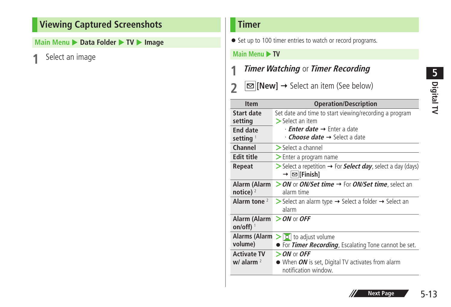## <span id="page-12-0"></span>**Viewing Captured Screenshots**

**Main Menu ▶ Data Folder ▶ TV ▶ Image** 

**1** Select an image

#### **Timer**

● Set up to 100 timer entries to watch or record programs.

#### **Main Menu > TV**

- **1 Timer Watching** or **Timer Recording**
- **2**  $\boxed{\simeq}$  **[New]**  $\rightarrow$  Select an item (See below)

| <b>Item</b>                                | <b>Operation/Description</b>                                                                                    |
|--------------------------------------------|-----------------------------------------------------------------------------------------------------------------|
| Start date<br>setting                      | Set date and time to start viewing/recording a program<br>$>$ Select an item                                    |
| End date<br>setting <sup>1</sup>           | • <i>Enter date</i> → Enter a date<br>$\cdot$ <i>Choose date</i> $\rightarrow$ Select a date                    |
| Channel                                    | $\triangleright$ Select a channel                                                                               |
| <b>Edit title</b>                          | $\geq$ Enter a program name                                                                                     |
| Repeat                                     | $\triangleright$ Select a repetition $\rightarrow$ For <b>Select day</b> , select a day (days)<br>→  ∞ [Finish] |
| notice) $2$                                | Alarm (Alarm $>$ ON or ON/Set time $\rightarrow$ For ON/Set time, select an<br>alarm time                       |
| Alarm tone $2$                             | Select an alarm type $\rightarrow$ Select a folder $\rightarrow$ Select an<br>alarm                             |
| Alarm (Alarm $>$ ON or OFF<br>on/off) $^1$ |                                                                                                                 |
| Alarms (Alarm<br>volume)                   | $>$ $\circ$ to adjust volume<br><b>• For Timer Recording</b> , Escalating Tone cannot be set.                   |
| <b>Activate TV</b><br>$w/$ alarm $2$       | $>$ ON or OFF<br>• When ON is set, Digital TV activates from alarm<br>notification window.                      |